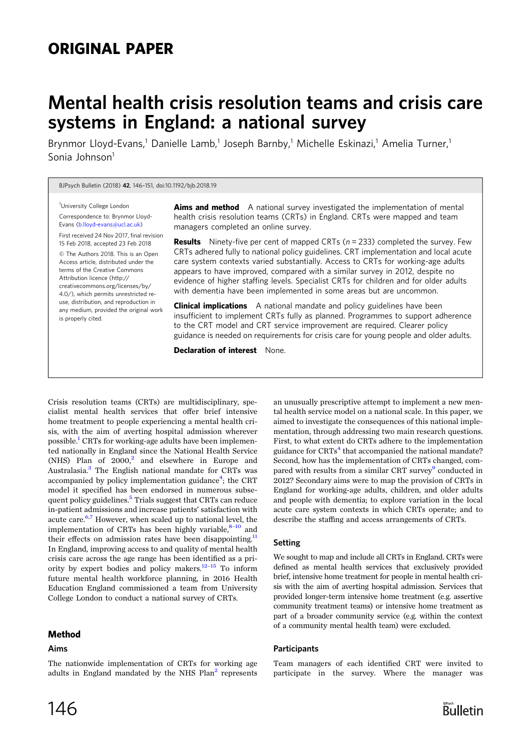# ORIGINAL PAPER

# Mental health crisis resolution teams and crisis care systems in England: a national survey

Brynmor Lloyd-Evans,<sup>1</sup> Danielle Lamb,<sup>1</sup> Joseph Barnby,<sup>1</sup> Michelle Eskinazi,<sup>1</sup> Amelia Turner,<sup>1</sup> Sonia Johnson<sup>1</sup>

BJPsych Bulletin (2018) 42, 146–151, doi:10.1192/bjb.2018.19

<sup>1</sup>University College London Correspondence to: Brynmor Lloyd-Evans [\(b.lloyd-evans@ucl.ac.uk](mailto:b.lloyd-evans@ucl.ac.uk)) First received 24 Nov 2017, final revision

15 Feb 2018, accepted 23 Feb 2018 © The Authors 2018. This is an Open Access article, distributed under the terms of the Creative Commons Attribution licence (http:// creativecommons.org/licenses/by/ 4.0/), which permits unrestricted reuse, distribution, and reproduction in any medium, provided the original work is properly cited.

Aims and method A national survey investigated the implementation of mental health crisis resolution teams (CRTs) in England. CRTs were mapped and team managers completed an online survey.

**Results** Ninety-five per cent of mapped CRTs  $(n = 233)$  completed the survey. Few CRTs adhered fully to national policy guidelines. CRT implementation and local acute care system contexts varied substantially. Access to CRTs for working-age adults appears to have improved, compared with a similar survey in 2012, despite no evidence of higher staffing levels. Specialist CRTs for children and for older adults with dementia have been implemented in some areas but are uncommon.

**Clinical implications** A national mandate and policy guidelines have been insufficient to implement CRTs fully as planned. Programmes to support adherence to the CRT model and CRT service improvement are required. Clearer policy guidance is needed on requirements for crisis care for young people and older adults.

Declaration of interest None.

Crisis resolution teams (CRTs) are multidisciplinary, specialist mental health services that offer brief intensive home treatment to people experiencing a mental health crisis, with the aim of averting hospital admission wherever possible.<sup>1</sup> CRTs for working-age adults have been implemented nationally in England since the National Health Service (NHS) Plan of  $2000<sup>2</sup>$  and elsewhere in Europe and Australasia.[3](#page-5-0) The English national mandate for CRTs was accompanied by policy implementation guidance<sup>4</sup>; the CRT model it specified has been endorsed in numerous subse-quent policy guidelines.<sup>[5](#page-5-0)</sup> Trials suggest that CRTs can reduce in-patient admissions and increase patients' satisfaction with acute care.<sup>6,[7](#page-5-0)</sup> However, when scaled up to national level, the implementation of CRTs has been highly variable, $8-10$  $8-10$  $8-10$  and their effects on admission rates have been disappointing.<sup>11</sup> In England, improving access to and quality of mental health crisis care across the age range has been identified as a pri-ority by expert bodies and policy makers.<sup>12–[15](#page-5-0)</sup> To inform future mental health workforce planning, in 2016 Health Education England commissioned a team from University College London to conduct a national survey of CRTs.

The nationwide implementation of CRTs for working age adults in England mandated by the NHS  $Plan<sup>2</sup>$  represents

#### Method

#### Aims

146

an unusually prescriptive attempt to implement a new mental health service model on a national scale. In this paper, we aimed to investigate the consequences of this national implementation, through addressing two main research questions. First, to what extent do CRTs adhere to the implementation guidance for  $CRTs<sup>4</sup>$  that accompanied the national mandate? Second, how has the implementation of CRTs changed, compared with results from a similar CRT survey<sup>9</sup> conducted in 2012? Secondary aims were to map the provision of CRTs in England for working-age adults, children, and older adults and people with dementia; to explore variation in the local acute care system contexts in which CRTs operate; and to describe the staffing and access arrangements of CRTs.

#### Setting

We sought to map and include all CRTs in England. CRTs were defined as mental health services that exclusively provided brief, intensive home treatment for people in mental health crisis with the aim of averting hospital admission. Services that provided longer-term intensive home treatment (e.g. assertive community treatment teams) or intensive home treatment as part of a broader community service (e.g. within the context of a community mental health team) were excluded.

#### **Participants**

Team managers of each identified CRT were invited to participate in the survey. Where the manager was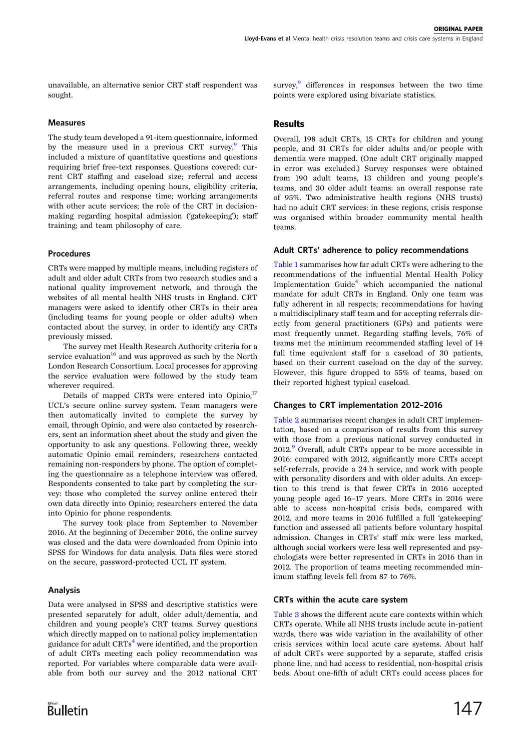unavailable, an alternative senior CRT staff respondent was sought.

#### Measures

The study team developed a 91-item questionnaire, informed by the measure used in a previous CRT survey.<sup>9</sup> This included a mixture of quantitative questions and questions requiring brief free-text responses. Questions covered: current CRT staffing and caseload size; referral and access arrangements, including opening hours, eligibility criteria, referral routes and response time; working arrangements with other acute services; the role of the CRT in decisionmaking regarding hospital admission ('gatekeeping'); staff training; and team philosophy of care.

#### Procedures

CRTs were mapped by multiple means, including registers of adult and older adult CRTs from two research studies and a national quality improvement network, and through the websites of all mental health NHS trusts in England. CRT managers were asked to identify other CRTs in their area (including teams for young people or older adults) when contacted about the survey, in order to identify any CRTs previously missed.

The survey met Health Research Authority criteria for a service evaluation<sup>[16](#page-5-0)</sup> and was approved as such by the North London Research Consortium. Local processes for approving the service evaluation were followed by the study team wherever required.

Details of mapped CRTs were entered into Opinio, $17$ UCL's secure online survey system. Team managers were then automatically invited to complete the survey by email, through Opinio, and were also contacted by researchers, sent an information sheet about the study and given the opportunity to ask any questions. Following three, weekly automatic Opinio email reminders, researchers contacted remaining non-responders by phone. The option of completing the questionnaire as a telephone interview was offered. Respondents consented to take part by completing the survey: those who completed the survey online entered their own data directly into Opinio; researchers entered the data into Opinio for phone respondents.

The survey took place from September to November 2016. At the beginning of December 2016, the online survey was closed and the data were downloaded from Opinio into SPSS for Windows for data analysis. Data files were stored on the secure, password-protected UCL IT system.

# Analysis

Data were analysed in SPSS and descriptive statistics were presented separately for adult, older adult/dementia, and children and young people's CRT teams. Survey questions which directly mapped on to national policy implementation guidance for adult  $CRTs<sup>4</sup>$  $CRTs<sup>4</sup>$  $CRTs<sup>4</sup>$  were identified, and the proportion of adult CRTs meeting each policy recommendation was reported. For variables where comparable data were available from both our survey and the 2012 national CRT

survey, $9$  differences in responses between the two time points were explored using bivariate statistics.

# Results

Overall, 198 adult CRTs, 15 CRTs for children and young people, and 31 CRTs for older adults and/or people with dementia were mapped. (One adult CRT originally mapped in error was excluded.) Survey responses were obtained from 190 adult teams, 13 children and young people's teams, and 30 older adult teams: an overall response rate of 95%. Two administrative health regions (NHS trusts) had no adult CRT services: in these regions, crisis response was organised within broader community mental health teams.

#### Adult CRTs' adherence to policy recommendations

[Table 1](#page-2-0) summarises how far adult CRTs were adhering to the recommendations of the influential Mental Health Policy Implementation Guide $4$  which accompanied the national mandate for adult CRTs in England. Only one team was fully adherent in all respects; recommendations for having a multidisciplinary staff team and for accepting referrals directly from general practitioners (GPs) and patients were most frequently unmet. Regarding staffing levels, 76% of teams met the minimum recommended staffing level of 14 full time equivalent staff for a caseload of 30 patients, based on their current caseload on the day of the survey. However, this figure dropped to 55% of teams, based on their reported highest typical caseload.

#### Changes to CRT implementation 2012–2016

[Table 2](#page-2-0) summarises recent changes in adult CRT implementation, based on a comparison of results from this survey with those from a previous national survey conducted in  $2012.<sup>9</sup>$  Overall, adult CRTs appear to be more accessible in 2016: compared with 2012, significantly more CRTs accept self-referrals, provide a 24 h service, and work with people with personality disorders and with older adults. An exception to this trend is that fewer CRTs in 2016 accepted young people aged 16–17 years. More CRTs in 2016 were able to access non-hospital crisis beds, compared with 2012, and more teams in 2016 fulfilled a full 'gatekeeping' function and assessed all patients before voluntary hospital admission. Changes in CRTs' staff mix were less marked, although social workers were less well represented and psychologists were better represented in CRTs in 2016 than in 2012. The proportion of teams meeting recommended minimum staffing levels fell from 87 to 76%.

#### CRTs within the acute care system

[Table 3](#page-3-0) shows the different acute care contexts within which CRTs operate. While all NHS trusts include acute in-patient wards, there was wide variation in the availability of other crisis services within local acute care systems. About half of adult CRTs were supported by a separate, staffed crisis phone line, and had access to residential, non-hospital crisis beds. About one-fifth of adult CRTs could access places for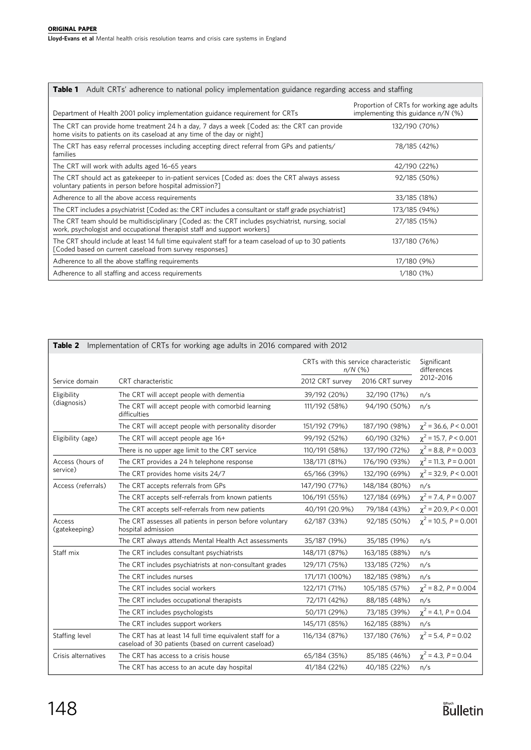<span id="page-2-0"></span>

| Adult CRTs' adherence to national policy implementation guidance regarding access and staffing<br>Table 1                                                                      |                                                                                   |  |  |  |  |
|--------------------------------------------------------------------------------------------------------------------------------------------------------------------------------|-----------------------------------------------------------------------------------|--|--|--|--|
| Department of Health 2001 policy implementation guidance requirement for CRTs                                                                                                  | Proportion of CRTs for working age adults<br>implementing this guidance $n/N$ (%) |  |  |  |  |
| The CRT can provide home treatment 24 h a day, 7 days a week [Coded as: the CRT can provide<br>home visits to patients on its caseload at any time of the day or night]        | 132/190 (70%)                                                                     |  |  |  |  |
| The CRT has easy referral processes including accepting direct referral from GPs and patients/<br>families                                                                     | 78/185 (42%)                                                                      |  |  |  |  |
| The CRT will work with adults aged 16-65 years                                                                                                                                 | 42/190 (22%)                                                                      |  |  |  |  |
| The CRT should act as gatekeeper to in-patient services [Coded as: does the CRT always assess<br>voluntary patients in person before hospital admission?]                      | 92/185 (50%)                                                                      |  |  |  |  |
| Adherence to all the above access requirements                                                                                                                                 | 33/185 (18%)                                                                      |  |  |  |  |
| The CRT includes a psychiatrist [Coded as: the CRT includes a consultant or staff grade psychiatrist]                                                                          | 173/185 (94%)                                                                     |  |  |  |  |
| The CRT team should be multidisciplinary [Coded as: the CRT includes psychiatrist, nursing, social<br>work, psychologist and occupational therapist staff and support workers] | 27/185 (15%)                                                                      |  |  |  |  |
| The CRT should include at least 14 full time equivalent staff for a team caseload of up to 30 patients<br>[Coded based on current caseload from survey responses]              | 137/180 (76%)                                                                     |  |  |  |  |
| Adherence to all the above staffing requirements                                                                                                                               | 17/180 (9%)                                                                       |  |  |  |  |
| Adherence to all staffing and access requirements                                                                                                                              | 1/180 (1%)                                                                        |  |  |  |  |

| Implementation of CRTs for working age adults in 2016 compared with 2012<br>Table 2 |                                                                                                                 |                                                    |                 |                            |  |  |  |
|-------------------------------------------------------------------------------------|-----------------------------------------------------------------------------------------------------------------|----------------------------------------------------|-----------------|----------------------------|--|--|--|
|                                                                                     |                                                                                                                 | CRTs with this service characteristic<br>$n/N$ (%) |                 | Significant<br>differences |  |  |  |
| Service domain                                                                      | CRT characteristic                                                                                              | 2012 CRT survey                                    | 2016 CRT survey | 2012-2016                  |  |  |  |
| Eligibility<br>(diagnosis)                                                          | The CRT will accept people with dementia                                                                        | 39/192 (20%)                                       | 32/190 (17%)    | n/s                        |  |  |  |
|                                                                                     | The CRT will accept people with comorbid learning<br>difficulties                                               | 111/192 (58%)                                      | 94/190 (50%)    | n/s                        |  |  |  |
|                                                                                     | The CRT will accept people with personality disorder                                                            | 151/192 (79%)                                      | 187/190 (98%)   | $\chi^2$ = 36.6, P < 0.001 |  |  |  |
| Eligibility (age)                                                                   | The CRT will accept people age 16+                                                                              | 99/192 (52%)                                       | 60/190 (32%)    | $\chi^2$ = 15.7, P < 0.001 |  |  |  |
|                                                                                     | There is no upper age limit to the CRT service                                                                  | 110/191 (58%)                                      | 137/190 (72%)   | $\chi^2$ = 8.8, P = 0.003  |  |  |  |
| Access (hours of<br>service)                                                        | The CRT provides a 24 h telephone response                                                                      | 138/171 (81%)                                      | 176/190 (93%)   | $\chi^2$ = 11.3, P = 0.001 |  |  |  |
|                                                                                     | The CRT provides home visits 24/7                                                                               | 65/166 (39%)                                       | 132/190 (69%)   | $\chi^2$ = 32.9, P < 0.001 |  |  |  |
| Access (referrals)                                                                  | The CRT accepts referrals from GPs                                                                              | 147/190 (77%)                                      | 148/184 (80%)   | n/s                        |  |  |  |
|                                                                                     | The CRT accepts self-referrals from known patients                                                              | 106/191 (55%)                                      | 127/184 (69%)   | $\chi^2$ = 7.4, P = 0.007  |  |  |  |
|                                                                                     | The CRT accepts self-referrals from new patients                                                                | 40/191 (20.9%)                                     | 79/184 (43%)    | $\chi^2$ = 20.9, P < 0.001 |  |  |  |
| Access<br>(gatekeeping)                                                             | The CRT assesses all patients in person before voluntary<br>hospital admission                                  | 62/187 (33%)                                       | 92/185 (50%)    | $\chi^2$ = 10.5, P = 0.001 |  |  |  |
|                                                                                     | The CRT always attends Mental Health Act assessments                                                            | 35/187 (19%)                                       | 35/185 (19%)    | n/s                        |  |  |  |
| Staff mix                                                                           | The CRT includes consultant psychiatrists                                                                       | 148/171 (87%)                                      | 163/185 (88%)   | n/s                        |  |  |  |
|                                                                                     | The CRT includes psychiatrists at non-consultant grades                                                         | 129/171 (75%)                                      | 133/185 (72%)   | n/s                        |  |  |  |
|                                                                                     | The CRT includes nurses                                                                                         | 171/171 (100%)                                     | 182/185 (98%)   | n/s                        |  |  |  |
|                                                                                     | The CRT includes social workers                                                                                 | 122/171 (71%)                                      | 105/185 (57%)   | $\chi^2$ = 8.2, P = 0.004  |  |  |  |
|                                                                                     | The CRT includes occupational therapists                                                                        | 72/171 (42%)                                       | 88/185 (48%)    | n/s                        |  |  |  |
|                                                                                     | The CRT includes psychologists                                                                                  | 50/171 (29%)                                       | 73/185 (39%)    | $\chi^2$ = 4.1, P = 0.04   |  |  |  |
|                                                                                     | The CRT includes support workers                                                                                | 145/171 (85%)                                      | 162/185 (88%)   | n/s                        |  |  |  |
| Staffing level                                                                      | The CRT has at least 14 full time equivalent staff for a<br>caseload of 30 patients (based on current caseload) | 116/134 (87%)                                      | 137/180 (76%)   | $\chi^2$ = 5.4, P = 0.02   |  |  |  |
| Crisis alternatives                                                                 | The CRT has access to a crisis house                                                                            | 65/184 (35%)                                       | 85/185 (46%)    | $\chi^2$ = 4.3, P = 0.04   |  |  |  |
|                                                                                     | The CRT has access to an acute day hospital                                                                     | 41/184 (22%)                                       | 40/185 (22%)    | n/s                        |  |  |  |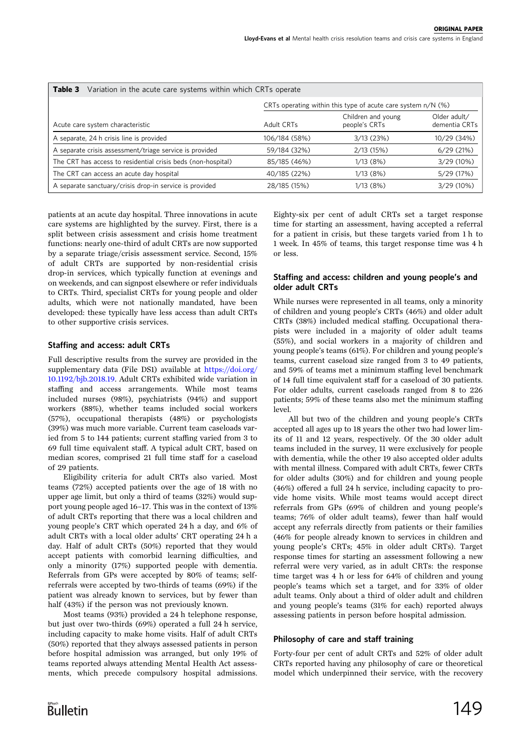<span id="page-3-0"></span>

| Table 3<br>Variation in the acute care systems within which CRTs operate |                                                              |                                     |                               |  |  |  |
|--------------------------------------------------------------------------|--------------------------------------------------------------|-------------------------------------|-------------------------------|--|--|--|
|                                                                          | CRTs operating within this type of acute care system n/N (%) |                                     |                               |  |  |  |
| Acute care system characteristic                                         | Adult CRTs                                                   | Children and young<br>people's CRTs | Older adult/<br>dementia CRTs |  |  |  |
| A separate, 24 h crisis line is provided                                 | 106/184 (58%)                                                | 3/13(23%)                           | 10/29 (34%)                   |  |  |  |
| A separate crisis assessment/triage service is provided                  | 59/184 (32%)                                                 | 2/13 (15%)                          | 6/29(21%)                     |  |  |  |
| The CRT has access to residential crisis beds (non-hospital)             | 85/185 (46%)                                                 | 1/13(8%)                            | 3/29 (10%)                    |  |  |  |
| The CRT can access an acute day hospital                                 | 40/185 (22%)                                                 | 1/13(8%)                            | 5/29 (17%)                    |  |  |  |
| A separate sanctuary/crisis drop-in service is provided                  | 28/185 (15%)                                                 | 1/13(8%)                            | 3/29 (10%)                    |  |  |  |

patients at an acute day hospital. Three innovations in acute care systems are highlighted by the survey. First, there is a split between crisis assessment and crisis home treatment functions: nearly one-third of adult CRTs are now supported by a separate triage/crisis assessment service. Second, 15% of adult CRTs are supported by non-residential crisis drop-in services, which typically function at evenings and on weekends, and can signpost elsewhere or refer individuals to CRTs. Third, specialist CRTs for young people and older adults, which were not nationally mandated, have been developed: these typically have less access than adult CRTs to other supportive crisis services.

#### Staffing and access: adult CRTs

Full descriptive results from the survey are provided in the supplementary data (File DS1) available at [https://doi.org/](https://doi.org/10.1192/bjb.2018.19) [10.1192/bjb.2018.19.](https://doi.org/10.1192/bjb.2018.19) Adult CRTs exhibited wide variation in staffing and access arrangements. While most teams included nurses (98%), psychiatrists (94%) and support workers (88%), whether teams included social workers (57%), occupational therapists (48%) or psychologists (39%) was much more variable. Current team caseloads varied from 5 to 144 patients; current staffing varied from 3 to 69 full time equivalent staff. A typical adult CRT, based on median scores, comprised 21 full time staff for a caseload of 29 patients.

Eligibility criteria for adult CRTs also varied. Most teams (72%) accepted patients over the age of 18 with no upper age limit, but only a third of teams (32%) would support young people aged 16–17. This was in the context of 13% of adult CRTs reporting that there was a local children and young people's CRT which operated 24 h a day, and 6% of adult CRTs with a local older adults' CRT operating 24 h a day. Half of adult CRTs (50%) reported that they would accept patients with comorbid learning difficulties, and only a minority (17%) supported people with dementia. Referrals from GPs were accepted by 80% of teams; selfreferrals were accepted by two-thirds of teams (69%) if the patient was already known to services, but by fewer than half (43%) if the person was not previously known.

Most teams (93%) provided a 24 h telephone response, but just over two-thirds (69%) operated a full 24 h service, including capacity to make home visits. Half of adult CRTs (50%) reported that they always assessed patients in person before hospital admission was arranged, but only 19% of teams reported always attending Mental Health Act assessments, which precede compulsory hospital admissions.

Eighty-six per cent of adult CRTs set a target response time for starting an assessment, having accepted a referral for a patient in crisis, but these targets varied from 1 h to 1 week. In 45% of teams, this target response time was 4 h or less.

#### Staffing and access: children and young people's and older adult CRTs

While nurses were represented in all teams, only a minority of children and young people's CRTs (46%) and older adult CRTs (38%) included medical staffing. Occupational therapists were included in a majority of older adult teams (55%), and social workers in a majority of children and young people's teams (61%). For children and young people's teams, current caseload size ranged from 3 to 49 patients, and 59% of teams met a minimum staffing level benchmark of 14 full time equivalent staff for a caseload of 30 patients. For older adults, current caseloads ranged from 8 to 226 patients; 59% of these teams also met the minimum staffing level.

All but two of the children and young people's CRTs accepted all ages up to 18 years the other two had lower limits of 11 and 12 years, respectively. Of the 30 older adult teams included in the survey, 11 were exclusively for people with dementia, while the other 19 also accepted older adults with mental illness. Compared with adult CRTs, fewer CRTs for older adults (30%) and for children and young people (46%) offered a full 24 h service, including capacity to provide home visits. While most teams would accept direct referrals from GPs (69% of children and young people's teams; 76% of older adult teams), fewer than half would accept any referrals directly from patients or their families (46% for people already known to services in children and young people's CRTs; 45% in older adult CRTs). Target response times for starting an assessment following a new referral were very varied, as in adult CRTs: the response time target was 4 h or less for 64% of children and young people's teams which set a target, and for 33% of older adult teams. Only about a third of older adult and children and young people's teams (31% for each) reported always assessing patients in person before hospital admission.

# Philosophy of care and staff training

Forty-four per cent of adult CRTs and 52% of older adult CRTs reported having any philosophy of care or theoretical model which underpinned their service, with the recovery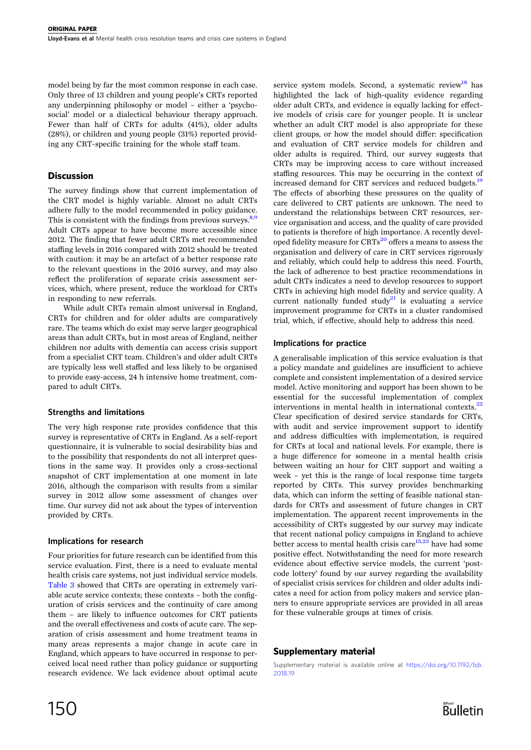model being by far the most common response in each case. Only three of 13 children and young people's CRTs reported any underpinning philosophy or model – either a 'psychosocial' model or a dialectical behaviour therapy approach. Fewer than half of CRTs for adults (41%), older adults (28%), or children and young people (31%) reported providing any CRT-specific training for the whole staff team.

# **Discussion**

The survey findings show that current implementation of the CRT model is highly variable. Almost no adult CRTs adhere fully to the model recommended in policy guidance. This is consistent with the findings from previous surveys. $8,9$  $8,9$  $8,9$ Adult CRTs appear to have become more accessible since 2012. The finding that fewer adult CRTs met recommended staffing levels in 2016 compared with 2012 should be treated with caution: it may be an artefact of a better response rate to the relevant questions in the 2016 survey, and may also reflect the proliferation of separate crisis assessment services, which, where present, reduce the workload for CRTs in responding to new referrals.

While adult CRTs remain almost universal in England, CRTs for children and for older adults are comparatively rare. The teams which do exist may serve larger geographical areas than adult CRTs, but in most areas of England, neither children nor adults with dementia can access crisis support from a specialist CRT team. Children's and older adult CRTs are typically less well staffed and less likely to be organised to provide easy-access, 24 h intensive home treatment, compared to adult CRTs.

#### Strengths and limitations

The very high response rate provides confidence that this survey is representative of CRTs in England. As a self-report questionnaire, it is vulnerable to social desirability bias and to the possibility that respondents do not all interpret questions in the same way. It provides only a cross-sectional snapshot of CRT implementation at one moment in late 2016, although the comparison with results from a similar survey in 2012 allow some assessment of changes over time. Our survey did not ask about the types of intervention provided by CRTs.

#### Implications for research

Four priorities for future research can be identified from this service evaluation. First, there is a need to evaluate mental health crisis care systems, not just individual service models. [Table 3](#page-3-0) showed that CRTs are operating in extremely variable acute service contexts; these contexts – both the configuration of crisis services and the continuity of care among them – are likely to influence outcomes for CRT patients and the overall effectiveness and costs of acute care. The separation of crisis assessment and home treatment teams in many areas represents a major change in acute care in England, which appears to have occurred in response to perceived local need rather than policy guidance or supporting research evidence. We lack evidence about optimal acute

service system models. Second, a systematic review<sup>[18](#page-5-0)</sup> has highlighted the lack of high-quality evidence regarding older adult CRTs, and evidence is equally lacking for effective models of crisis care for younger people. It is unclear whether an adult CRT model is also appropriate for these client groups, or how the model should differ: specification and evaluation of CRT service models for children and older adults is required. Third, our survey suggests that CRTs may be improving access to care without increased staffing resources. This may be occurring in the context of increased demand for CRT services and reduced budgets.<sup>19</sup> The effects of absorbing these pressures on the quality of care delivered to CRT patients are unknown. The need to understand the relationships between CRT resources, service organisation and access, and the quality of care provided to patients is therefore of high importance. A recently developed fidelity measure for CRTs<sup>20</sup> offers a means to assess the organisation and delivery of care in CRT services rigorously and reliably, which could help to address this need. Fourth, the lack of adherence to best practice recommendations in adult CRTs indicates a need to develop resources to support CRTs in achieving high model fidelity and service quality. A current nationally funded study<sup>21</sup> is evaluating a service improvement programme for CRTs in a cluster randomised trial, which, if effective, should help to address this need.

#### Implications for practice

A generalisable implication of this service evaluation is that a policy mandate and guidelines are insufficient to achieve complete and consistent implementation of a desired service model. Active monitoring and support has been shown to be essential for the successful implementation of complex interventions in mental health in international contexts. $^{22}$  $^{22}$  $^{22}$ Clear specification of desired service standards for CRTs, with audit and service improvement support to identify and address difficulties with implementation, is required for CRTs at local and national levels. For example, there is a huge difference for someone in a mental health crisis between waiting an hour for CRT support and waiting a week – yet this is the range of local response time targets reported by CRTs. This survey provides benchmarking data, which can inform the setting of feasible national standards for CRTs and assessment of future changes in CRT implementation. The apparent recent improvements in the accessibility of CRTs suggested by our survey may indicate that recent national policy campaigns in England to achieve better access to mental health crisis care $15,23$  $15,23$  $15,23$  have had some positive effect. Notwithstanding the need for more research evidence about effective service models, the current 'postcode lottery' found by our survey regarding the availability of specialist crisis services for children and older adults indicates a need for action from policy makers and service planners to ensure appropriate services are provided in all areas for these vulnerable groups at times of crisis.

# Supplementary material

Supplementary material is available online at [https://doi.org/10.1192/bjb.](https://doi.org/10.1192/bjb.2018.19) [2018.19](https://doi.org/10.1192/bjb.2018.19)